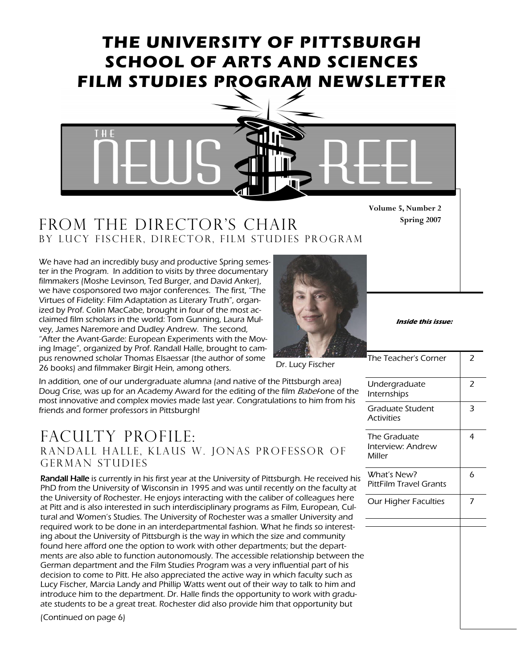# THE UNIVERSITY OF PITTSBURGH SCHOOL OF ARTS AND SCIENCES FILM STUDIES PROGRAM NEWSLETTER



#### FROM THE DIRECTOR'S CHAIR By Lucy fischer, Director, film studies program

We have had an incredibly busy and productive Spring semester in the Program. In addition to visits by three documentary filmmakers (Moshe Levinson, Ted Burger, and David Anker), we have cosponsored two major conferences. The first, "The Virtues of Fidelity: Film Adaptation as Literary Truth", organized by Prof. Colin MacCabe, brought in four of the most acclaimed film scholars in the world: Tom Gunning, Laura Mulvey, James Naremore and Dudley Andrew. The second, "After the Avant-Garde: European Experiments with the Moving Image", organized by Prof. Randall Halle, brought to campus renowned scholar Thomas Elsaessar (the author of some 26 books) and filmmaker Birgit Hein, among others.



Inside this issue:

The Teacher's Corner  $\quad$  2

Spring 2007

Dr. Lucy Fischer

In addition, one of our undergraduate alumna (and native of the Pittsburgh area) Doug Crise, was up for an Academy Award for the editing of the film Babel-one of the most innovative and complex movies made last year. Congratulations to him from his friends and former professors in Pittsburgh!

#### FACULTY PROFILE: Randall Halle, Klaus W. Jonas Professor of German Studies

Randall Halle is currently in his first year at the University of Pittsburgh. He received his PhD from the University of Wisconsin in 1995 and was until recently on the faculty at the University of Rochester. He enjoys interacting with the caliber of colleagues here at Pitt and is also interested in such interdisciplinary programs as Film, European, Cultural and Women's Studies. The University of Rochester was a smaller University and required work to be done in an interdepartmental fashion. What he finds so interesting about the University of Pittsburgh is the way in which the size and community found here afford one the option to work with other departments; but the departments are also able to function autonomously. The accessible relationship between the German department and the Film Studies Program was a very influential part of his decision to come to Pitt. He also appreciated the active way in which faculty such as Lucy Fischer, Marcia Landy and Phillip Watts went out of their way to talk to him and introduce him to the department. Dr. Halle finds the opportunity to work with graduate students to be a great treat. Rochester did also provide him that opportunity but

(Continued on page 6)

| Undergraduate<br>Internships                | 2 |
|---------------------------------------------|---|
| Graduate Student<br><b>Activities</b>       | 3 |
| The Graduate<br>Interview: Andrew<br>Miller | 4 |
| What's New?<br>PittFilm Travel Grants       | 6 |
| <b>Our Higher Faculties</b>                 | 7 |
|                                             |   |
|                                             |   |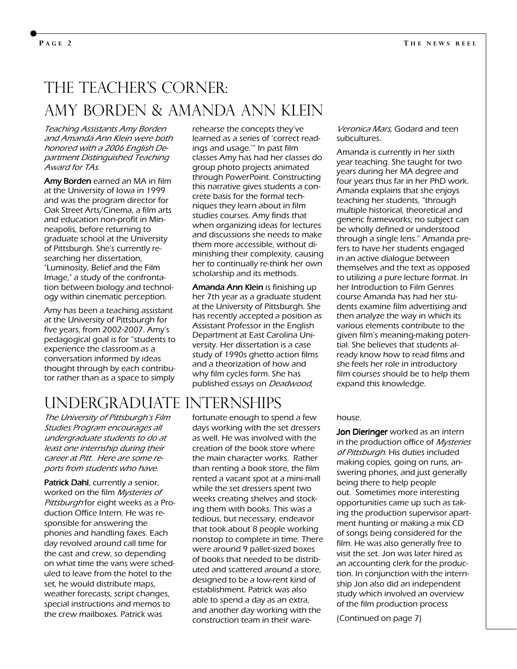# The Teacher's corner: Amy Borden & Amanda Ann Klein

Teaching Assistants Amy Borden and Amanda Ann Klein were both honored with a 2006 English Department Distinguished Teaching Award for TAs.

Amy Borden earned an MA in film at the University of Iowa in 1999 and was the program director for Oak Street Arts/Cinema, a film arts and education non-profit in Minneapolis, before returning to graduate school at the University of Pittsburgh. She's currently researching her dissertation, "Luminosity, Belief and the Film Image," a study of the confrontation between biology and technology within cinematic perception.

Amy has been a teaching assistant at the University of Pittsburgh for five years, from 2002-2007. Amy's pedagogical goal is for "students to experience the classroom as a conversation informed by ideas thought through by each contributor rather than as a space to simply

rehearse the concepts they've learned as a series of 'correct readings and usage.'" In past film classes Amy has had her classes do group photo projects animated through PowerPoint. Constructing this narrative gives students a concrete basis for the formal techniques they learn about in film studies courses. Amy finds that when organizing ideas for lectures and discussions she needs to make them more accessible, without diminishing their complexity, causing her to continually re-think her own scholarship and its methods.

Amanda Ann Klein is finishing up her 7th year as a graduate student at the University of Pittsburgh. She has recently accepted a position as Assistant Professor in the English Department at East Carolina University. Her dissertation is a case study of 1990s ghetto action films and a theorization of how and why film cycles form. She has published essays on Deadwood,

# Undergraduate Internships

The University of Pittsburgh's Film Studies Program encourages all undergraduate students to do at least one internship during their career at Pitt. Here are some reports from students who have.

Patrick Dahl, currently a senior, worked on the film Mysteries of Pittsburgh for eight weeks as a Production Office Intern. He was responsible for answering the phones and handling faxes. Each day revolved around call time for the cast and crew, so depending on what time the vans were scheduled to leave from the hotel to the set, he would distribute maps, weather forecasts, script changes, special instructions and memos to the crew mailboxes. Patrick was

fortunate enough to spend a few days working with the set dressers as well. He was involved with the creation of the book store where the main character works. Rather than renting a book store, the film rented a vacant spot at a mini-mall while the set dressers spent two weeks creating shelves and stocking them with books. This was a tedious, but necessary, endeavor that took about 8 people working nonstop to complete in time. There were around 9 pallet-sized boxes of books that needed to be distributed and scattered around a store, designed to be a low-rent kind of establishment. Patrick was also able to spend a day as an extra, and another day working with the construction team in their ware-

Veronica Mars, Godard and teen subcultures.

Amanda is currently in her sixth year teaching. She taught for two years during her MA degree and four years thus far in her PhD work. Amanda explains that she enjoys teaching her students, "through multiple historical, theoretical and generic frameworks; no subject can be wholly defined or understood through a single lens." Amanda prefers to have her students engaged in an active dialogue between themselves and the text as opposed to utilizing a pure lecture format. In her Introduction to Film Genres course Amanda has had her students examine film advertising and then analyze the way in which its various elements contribute to the given film's meaning-making potential. She believes that students already know how to read films and she feels her role in introductory film courses should be to help them expand this knowledge.

#### house.

Jon Dieringer worked as an intern in the production office of Mysteries of Pittsburgh. His duties included making copies, going on runs, answering phones, and just generally being there to help people out. Sometimes more interesting opportunities came up such as taking the production supervisor apartment hunting or making a mix CD of songs being considered for the film. He was also generally free to visit the set. Jon was later hired as an accounting clerk for the production. In conjunction with the internship Jon also did an independent study which involved an overview of the film production process

(Continued on page 7)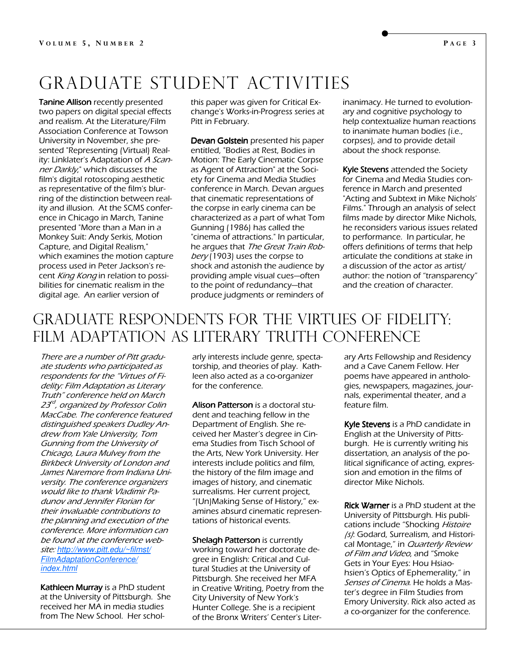# Graduate student activities

Tanine Allison recently presented two papers on digital special effects and realism. At the Literature/Film Association Conference at Towson University in November, she presented "Representing (Virtual) Reality: Linklater's Adaptation of A Scanner Darkly," which discusses the film's digital rotoscoping aesthetic as representative of the film's blurring of the distinction between reality and illusion. At the SCMS conference in Chicago in March, Tanine presented "More than a Man in a Monkey Suit: Andy Serkis, Motion Capture, and Digital Realism," which examines the motion capture process used in Peter Jackson's recent King Kong in relation to possibilities for cinematic realism in the digital age. An earlier version of

this paper was given for Critical Exchange's Works-in-Progress series at Pitt in February.

Devan Golstein presented his paper entitled, "Bodies at Rest, Bodies in Motion: The Early Cinematic Corpse as Agent of Attraction" at the Society for Cinema and Media Studies conference in March. Devan argues that cinematic representations of the corpse in early cinema can be characterized as a part of what Tom Gunning (1986) has called the "cinema of attractions." In particular, he argues that The Great Train Robbery (1903) uses the corpse to shock and astonish the audience by providing ample visual cues—often to the point of redundancy—that produce judgments or reminders of

inanimacy. He turned to evolutionary and cognitive psychology to help contextualize human reactions to inanimate human bodies (i.e., corpses), and to provide detail about the shock response.

Kyle Stevens attended the Society for Cinema and Media Studies conference in March and presented "Acting and Subtext in Mike Nichols' Films." Through an analysis of select films made by director Mike Nichols, he reconsiders various issues related to performance. In particular, he offers definitions of terms that help articulate the conditions at stake in a discussion of the actor as artist/ author: the notion of "transparency" and the creation of character.

## Graduate Respondents for the Virtues of Fidelity: FILM ADAPTATION AS LITERARY TRUTH CONFERENCE

There are a number of Pitt graduate students who participated as respondents for the "Virtues of Fidelity: Film Adaptation as Literary Truth" conference held on March 23<sup>rd</sup>, organized by Professor Colin MacCabe. The conference featured distinguished speakers Dudley Andrew from Yale University, Tom Gunning from the University of Chicago, Laura Mulvey from the Birkbeck University of London and James Naremore from Indiana University. The conference organizers would like to thank Vladimir Padunov and Jennifer Florian for their invaluable contributions to the planning and execution of the conference. More information can be found at the conference website: http://www.pitt.edu/~filmst/ FilmAdaptationConference/ index.html

Kathleen Murray is a PhD student at the University of Pittsburgh. She received her MA in media studies from The New School. Her schol-

arly interests include genre, spectatorship, and theories of play. Kathleen also acted as a co-organizer for the conference.

Alison Patterson is a doctoral student and teaching fellow in the Department of English. She received her Master's degree in Cinema Studies from Tisch School of the Arts, New York University. Her interests include politics and film, the history of the film image and images of history, and cinematic surrealisms. Her current project, "(Un)Making Sense of History," examines absurd cinematic representations of historical events.

Shelagh Patterson is currently working toward her doctorate degree in English: Critical and Cultural Studies at the University of Pittsburgh. She received her MFA in Creative Writing, Poetry from the City University of New York's Hunter College. She is a recipient of the Bronx Writers' Center's Literary Arts Fellowship and Residency and a Cave Canem Fellow. Her poems have appeared in anthologies, newspapers, magazines, journals, experimental theater, and a feature film.

Kyle Stevens is a PhD candidate in English at the University of Pittsburgh. He is currently writing his dissertation, an analysis of the political significance of acting, expression and emotion in the films of director Mike Nichols.

Rick Warner is a PhD student at the University of Pittsburgh. His publications include "Shocking Histoire (s): Godard, Surrealism, and Historical Montage," in Quarterly Review of Film and Video, and "Smoke Gets in Your Eyes: Hou Hsiaohsien's Optics of Ephemerality," in Senses of Cinema. He holds a Master's degree in Film Studies from Emory University. Rick also acted as a co-organizer for the conference.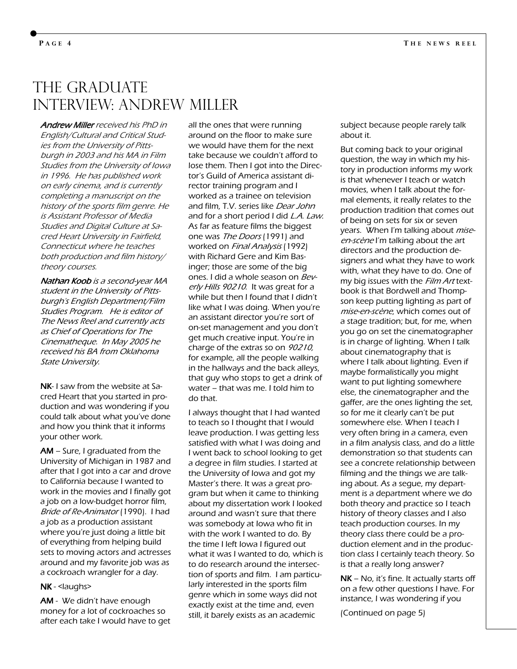## THE GRADUATE Interview: Andrew Miller

Andrew Miller received his PhD in English/Cultural and Critical Studies from the University of Pittsburgh in 2003 and his MA in Film Studies from the University of Iowa in 1996. He has published work on early cinema, and is currently completing a manuscript on the history of the sports film genre. He is Assistant Professor of Media Studies and Digital Culture at Sacred Heart University in Fairfield, Connecticut where he teaches both production and film history/ theory courses.

Nathan Koob is a second-year MA student in the University of Pittsburgh's English Department/Film Studies Program. He is editor of The News Reel and currently acts as Chief of Operations for The Cinematheque. In May 2005 he received his BA from Oklahoma State University.

NK- I saw from the website at Sacred Heart that you started in production and was wondering if you could talk about what you've done and how you think that it informs your other work.

 $AM - S$ ure, I graduated from the University of Michigan in 1987 and after that I got into a car and drove to California because I wanted to work in the movies and I finally got a job on a low-budget horror film, Bride of Re-Animator (1990). I had a job as a production assistant where you're just doing a little bit of everything from helping build sets to moving actors and actresses around and my favorite job was as a cockroach wrangler for a day.

#### NK - <laughs>

AM - We didn't have enough money for a lot of cockroaches so after each take I would have to get all the ones that were running around on the floor to make sure we would have them for the next take because we couldn't afford to lose them. Then I got into the Director's Guild of America assistant director training program and I worked as a trainee on television and film, T.V. series like Dear John and for a short period I did *L.A. Law*. As far as feature films the biggest one was The Doors (1991) and worked on Final Analysis (1992) with Richard Gere and Kim Basinger; those are some of the big ones. I did a whole season on Beverly Hills 90210. It was great for a while but then I found that I didn't like what I was doing. When you're an assistant director you're sort of on-set management and you don't get much creative input. You're in charge of the extras so on 90210, for example, all the people walking in the hallways and the back alleys, that guy who stops to get a drink of water – that was me. I told him to do that.

I always thought that I had wanted to teach so I thought that I would leave production. I was getting less satisfied with what I was doing and I went back to school looking to get a degree in film studies. I started at the University of Iowa and got my Master's there. It was a great program but when it came to thinking about my dissertation work I looked around and wasn't sure that there was somebody at Iowa who fit in with the work I wanted to do. By the time I left Iowa I figured out what it was I wanted to do, which is to do research around the intersection of sports and film. I am particularly interested in the sports film genre which in some ways did not exactly exist at the time and, even still, it barely exists as an academic

subject because people rarely talk about it.

But coming back to your original question, the way in which my history in production informs my work is that whenever I teach or watch movies, when I talk about the formal elements, it really relates to the production tradition that comes out of being on sets for six or seven years. When I'm talking about miseen-scène I'm talking about the art directors and the production designers and what they have to work with, what they have to do. One of my big issues with the Film Art textbook is that Bordwell and Thompson keep putting lighting as part of mise-en-scène, which comes out of a stage tradition; but, for me, when you go on set the cinematographer is in charge of lighting. When I talk about cinematography that is where I talk about lighting. Even if maybe formalistically you might want to put lighting somewhere else, the cinematographer and the gaffer, are the ones lighting the set, so for me it clearly can't be put somewhere else. When I teach I very often bring in a camera, even in a film analysis class, and do a little demonstration so that students can see a concrete relationship between filming and the things we are talking about. As a segue, my department is a department where we do both theory and practice so I teach history of theory classes and I also teach production courses. In my theory class there could be a production element and in the production class I certainly teach theory. So is that a really long answer?

 $NK - No$ , it's fine. It actually starts off on a few other questions I have. For instance, I was wondering if you

(Continued on page 5)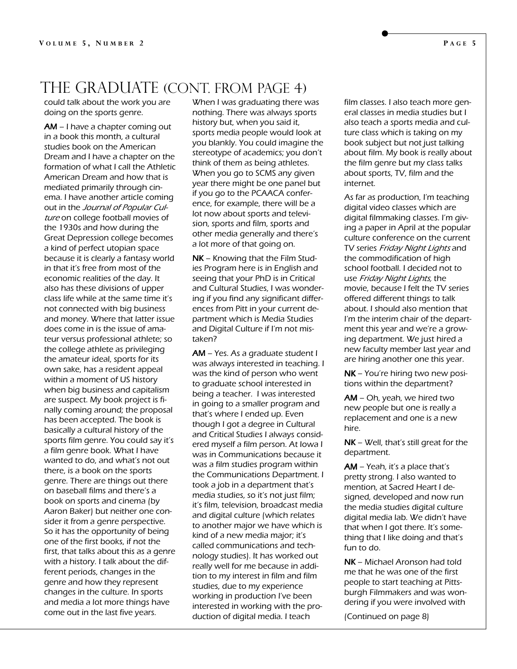#### THE GRADUATE (CONT. FROM PAGE 4)

could talk about the work you are doing on the sports genre.

 $AM - I$  have a chapter coming out in a book this month, a cultural studies book on the American Dream and I have a chapter on the formation of what I call the Athletic American Dream and how that is mediated primarily through cinema. I have another article coming out in the Journal of Popular Culture on college football movies of the 1930s and how during the Great Depression college becomes a kind of perfect utopian space because it is clearly a fantasy world in that it's free from most of the economic realities of the day. It also has these divisions of upper class life while at the same time it's not connected with big business and money. Where that latter issue does come in is the issue of amateur versus professional athlete; so the college athlete as privileging the amateur ideal, sports for its own sake, has a resident appeal within a moment of US history when big business and capitalism are suspect. My book project is finally coming around; the proposal has been accepted. The book is basically a cultural history of the sports film genre. You could say it's a film genre book. What I have wanted to do, and what's not out there, is a book on the sports genre. There are things out there on baseball films and there's a book on sports and cinema (by Aaron Baker) but neither one consider it from a genre perspective. So it has the opportunity of being one of the first books, if not the first, that talks about this as a genre with a history. I talk about the different periods, changes in the genre and how they represent changes in the culture. In sports and media a lot more things have come out in the last five years.

When I was graduating there was nothing. There was always sports history but, when you said it, sports media people would look at you blankly. You could imagine the stereotype of academics; you don't think of them as being athletes. When you go to SCMS any given year there might be one panel but if you go to the PCAACA conference, for example, there will be a lot now about sports and television, sports and film, sports and other media generally and there's a lot more of that going on.

 $NK -$  Knowing that the Film Studies Program here is in English and seeing that your PhD is in Critical and Cultural Studies, I was wondering if you find any significant differences from Pitt in your current department which is Media Studies and Digital Culture if I'm not mistaken?

 $AM - Yes.$  As a graduate student I was always interested in teaching. I was the kind of person who went to graduate school interested in being a teacher. I was interested in going to a smaller program and that's where I ended up. Even though I got a degree in Cultural and Critical Studies I always considered myself a film person. At Iowa I was in Communications because it was a film studies program within the Communications Department. I took a job in a department that's media studies, so it's not just film; it's film, television, broadcast media and digital culture (which relates to another major we have which is kind of a new media major; it's called communications and technology studies). It has worked out really well for me because in addition to my interest in film and film studies, due to my experience working in production I've been interested in working with the production of digital media. I teach

film classes. I also teach more general classes in media studies but I also teach a sports media and culture class which is taking on my book subject but not just talking about film. My book is really about the film genre but my class talks about sports, TV, film and the internet.

As far as production, I'm teaching digital video classes which are digital filmmaking classes. I'm giving a paper in April at the popular culture conference on the current TV series Friday Night Lights and the commodification of high school football. I decided not to use Friday Night Lights, the movie, because I felt the TV series offered different things to talk about. I should also mention that I'm the interim chair of the department this year and we're a growing department. We just hired a new faculty member last year and are hiring another one this year.

 $NK - You're hiring two new posi$ tions within the department?

 $AM - Oh$ , yeah, we hired two new people but one is really a replacement and one is a new hire.

 $NK - Well$ , that's still great for the department.

 $AM - Y$ eah, it's a place that's pretty strong. I also wanted to mention, at Sacred Heart I designed, developed and now run the media studies digital culture digital media lab. We didn't have that when I got there. It's something that I like doing and that's fun to do.

NK – Michael Aronson had told me that he was one of the first people to start teaching at Pittsburgh Filmmakers and was wondering if you were involved with

(Continued on page 8)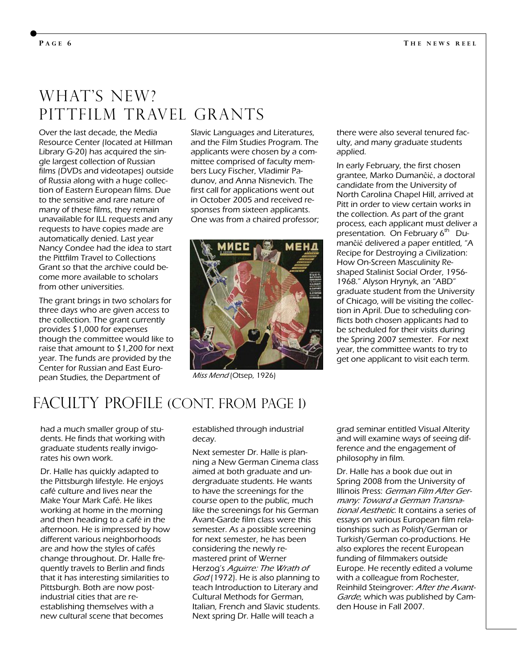## WHAT'S NEW? PITTFILM TRAVEL GRANTS

Over the last decade, the Media Resource Center (located at Hillman Library G-20) has acquired the single largest collection of Russian films (DVDs and videotapes) outside of Russia along with a huge collection of Eastern European films. Due to the sensitive and rare nature of many of these films, they remain unavailable for ILL requests and any requests to have copies made are automatically denied. Last year Nancy Condee had the idea to start the Pittfilm Travel to Collections Grant so that the archive could become more available to scholars from other universities.

The grant brings in two scholars for three days who are given access to the collection. The grant currently provides \$1,000 for expenses though the committee would like to raise that amount to \$1,200 for next year. The funds are provided by the Center for Russian and East European Studies, the Department of

Slavic Languages and Literatures, and the Film Studies Program. The applicants were chosen by a committee comprised of faculty members Lucy Fischer, Vladimir Padunov, and Anna Nisnevich. The first call for applications went out in October 2005 and received responses from sixteen applicants. One was from a chaired professor;



Miss Mend (Otsep, 1926)

there were also several tenured faculty, and many graduate students applied.

In early February, the first chosen grantee, Marko Dumanĉić, a doctoral candidate from the University of North Carolina Chapel Hill, arrived at Pitt in order to view certain works in the collection. As part of the grant process, each applicant must deliver a presentation. On February  $6<sup>th</sup>$  Dumanĉić delivered a paper entitled, "A Recipe for Destroying a Civilization: How On-Screen Masculinity Reshaped Stalinist Social Order, 1956- 1968." Alyson Hrynyk, an "ABD" graduate student from the University of Chicago, will be visiting the collection in April. Due to scheduling conflicts both chosen applicants had to be scheduled for their visits during the Spring 2007 semester. For next year, the committee wants to try to get one applicant to visit each term.

#### FACULTY PROFILE (CONT. FROM PAGE 1)

had a much smaller group of students. He finds that working with graduate students really invigorates his own work.

Dr. Halle has quickly adapted to the Pittsburgh lifestyle. He enjoys café culture and lives near the Make Your Mark Café. He likes working at home in the morning and then heading to a café in the afternoon. He is impressed by how different various neighborhoods are and how the styles of cafés change throughout. Dr. Halle frequently travels to Berlin and finds that it has interesting similarities to Pittsburgh. Both are now postindustrial cities that are reestablishing themselves with a new cultural scene that becomes

established through industrial decay.

Next semester Dr. Halle is planning a New German Cinema class aimed at both graduate and undergraduate students. He wants to have the screenings for the course open to the public, much like the screenings for his German Avant-Garde film class were this semester. As a possible screening for next semester, he has been considering the newly remastered print of Werner Herzog's Aguirre: The Wrath of God (1972). He is also planning to teach Introduction to Literary and Cultural Methods for German, Italian, French and Slavic students. Next spring Dr. Halle will teach a

grad seminar entitled Visual Alterity and will examine ways of seeing difference and the engagement of philosophy in film.

Dr. Halle has a book due out in Spring 2008 from the University of Illinois Press: German Film After Germany: Toward a German Transnational Aesthetic. It contains a series of essays on various European film relationships such as Polish/German or Turkish/German co-productions. He also explores the recent European funding of filmmakers outside Europe. He recently edited a volume with a colleague from Rochester, Reinhild Steingrover: After the Avant-Garde, which was published by Camden House in Fall 2007.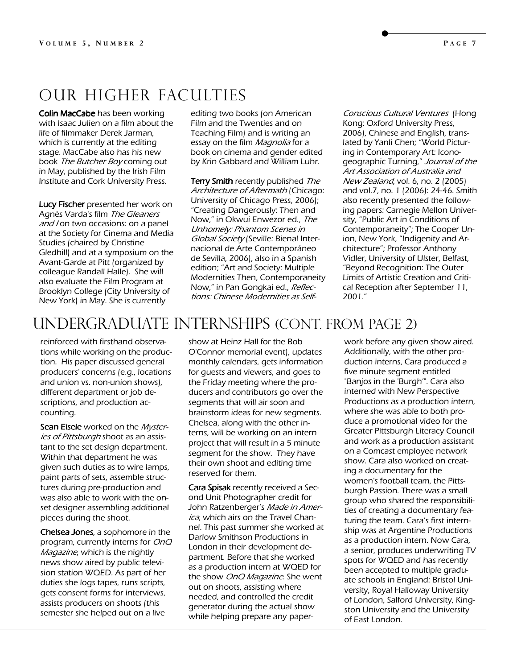### Our Higher Faculties

**Colin MacCabe** has been working with Isaac Julien on a film about the life of filmmaker Derek Jarman, which is currently at the editing stage. MacCabe also has his new book The Butcher Boy coming out in May, published by the Irish Film Institute and Cork University Press.

Lucy Fischer presented her work on Agnès Varda's film The Gleaners and I on two occasions: on a panel at the Society for Cinema and Media Studies (chaired by Christine Gledhill) and at a symposium on the Avant-Garde at Pitt (organized by colleague Randall Halle). She will also evaluate the Film Program at Brooklyn College (City University of New York) in May. She is currently

editing two books (on American Film and the Twenties and on Teaching Film) and is writing an essay on the film *Magnolia* for a book on cinema and gender edited by Krin Gabbard and William Luhr.

Terry Smith recently published The Architecture of Aftermath (Chicago: University of Chicago Press, 2006); "Creating Dangerously: Then and Now," in Okwui Enwezor ed., The Unhomely: Phantom Scenes in Global Society (Seville: Bienal Internacional de Arte Contemporáneo de Sevilla, 2006), also in a Spanish edition; "Art and Society: Multiple Modernities Then, Contemporaneity Now," in Pan Gongkai ed., Reflections: Chinese Modernities as Self-

Conscious Cultural Ventures (Hong Kong: Oxford University Press, 2006), Chinese and English, translated by Yanli Chen; "World Picturing in Contemporary Art: Iconogeographic Turning," Journal of the Art Association of Australia and New Zealand, vol. 6, no. 2 (2005) and vol.7, no. 1 (2006): 24-46. Smith also recently presented the following papers: Carnegie Mellon University, "Public Art in Conditions of Contemporaneity"; The Cooper Union, New York, "Indigenity and Architecture"; Professor Anthony Vidler, University of Ulster, Belfast, "Beyond Recognition: The Outer Limits of Artistic Creation and Critical Reception after September 11, 2001."

## Undergraduate internships (Cont. from page 2)

reinforced with firsthand observations while working on the production. His paper discussed general producers' concerns (e.g., locations and union vs. non-union shows), different department or job descriptions, and production accounting.

Sean Eisele worked on the Mysteries of Pittsburgh shoot as an assistant to the set design department. Within that department he was given such duties as to wire lamps, paint parts of sets, assemble structures during pre-production and was also able to work with the onset designer assembling additional pieces during the shoot.

Chelsea Jones, a sophomore in the program, currently interns for OnQ Magazine, which is the nightly news show aired by public television station WQED. As part of her duties she logs tapes, runs scripts, gets consent forms for interviews, assists producers on shoots (this semester she helped out on a live

show at Heinz Hall for the Bob O'Connor memorial event), updates monthly calendars, gets information for guests and viewers, and goes to the Friday meeting where the producers and contributors go over the segments that will air soon and brainstorm ideas for new segments. Chelsea, along with the other interns, will be working on an intern project that will result in a 5 minute segment for the show. They have their own shoot and editing time reserved for them.

Cara Spisak recently received a Second Unit Photographer credit for John Ratzenberger's Made in America, which airs on the Travel Channel. This past summer she worked at Darlow Smithson Productions in London in their development department. Before that she worked as a production intern at WQED for the show OnO Magazine. She went out on shoots, assisting where needed, and controlled the credit generator during the actual show while helping prepare any paperwork before any given show aired. Additionally, with the other production interns, Cara produced a five minute segment entitled "Banjos in the 'Burgh'". Cara also interned with New Perspective Productions as a production intern, where she was able to both produce a promotional video for the Greater Pittsburgh Literacy Council and work as a production assistant on a Comcast employee network show. Cara also worked on creating a documentary for the women's football team, the Pittsburgh Passion. There was a small group who shared the responsibilities of creating a documentary featuring the team. Cara's first internship was at Argentine Productions as a production intern. Now Cara, a senior, produces underwriting TV spots for WQED and has recently been accepted to multiple graduate schools in England: Bristol University, Royal Halloway University of London, Salford University, Kingston University and the University of East London.